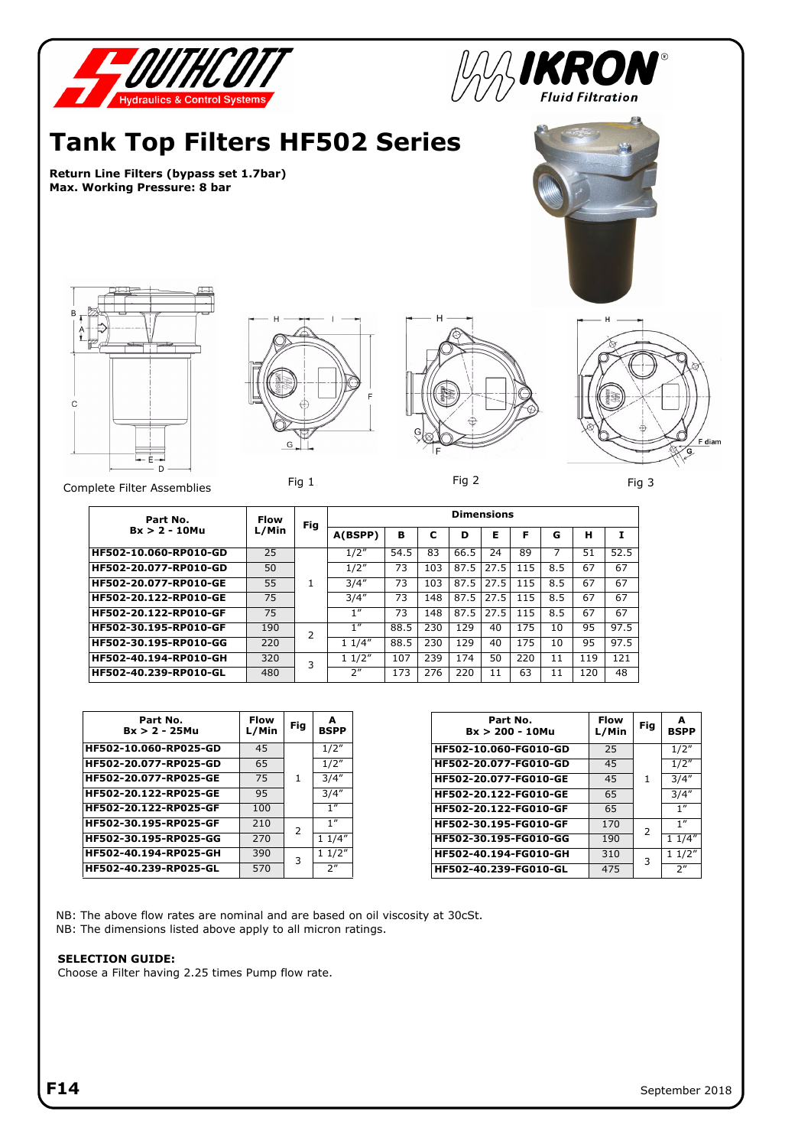

| Part No.<br>$Bx > 2 - 25$ Mu | Flow<br>L/Min | Fig | A<br><b>BSPP</b> |
|------------------------------|---------------|-----|------------------|
| HF502-10.060-RP025-GD        | 45            |     | 1/2"             |
| HF502-20.077-RP025-GD        | 65            | 1   | 1/2"             |
| HF502-20.077-RP025-GE        | 75            |     | 3/4''            |
| HF502-20.122-RP025-GE        | 95            |     | 3/4''            |
| HF502-20.122-RP025-GF        | 100           |     | 1''              |
| HF502-30.195-RP025-GF        | 210           | 2   | 1''              |
| HF502-30.195-RP025-GG        | 270           |     | 11/4"            |
| HF502-40.194-RP025-GH        | 390           | 3   | 11/2"            |
| HF502-40.239-RP025-GL        | 570           |     | 2 <sup>n</sup>   |

| Part No.<br>$Bx > 200 - 10Mu$ | <b>Flow</b><br>L/Min | Fig           | A<br><b>BSPP</b> |
|-------------------------------|----------------------|---------------|------------------|
| HF502-10.060-FG010-GD         | 25                   |               | 1/2"             |
| HF502-20.077-FG010-GD         | 45                   | 1             | 1/2"             |
| HF502-20.077-FG010-GE         | 45                   |               | 3/4''            |
| HF502-20.122-FG010-GE         | 65                   |               | 3/4''            |
| HF502-20.122-FG010-GF         | 65                   |               | 1 <sup>''</sup>  |
| HF502-30.195-FG010-GF         | 170                  | $\mathcal{P}$ | 1''              |
| HF502-30.195-FG010-GG         | 190                  |               | 11/4"            |
| HF502-40.194-FG010-GH         | 310                  | 3             | 11/2"            |
| HF502-40.239-FG010-GL         | 475                  |               | 2 <sup>''</sup>  |

NB: The above flow rates are nominal and are based on oil viscosity at 30cSt. NB: The dimensions listed above apply to all micron ratings.

## **SELECTION GUIDE:**

Choose a Filter having 2.25 times Pump flow rate.